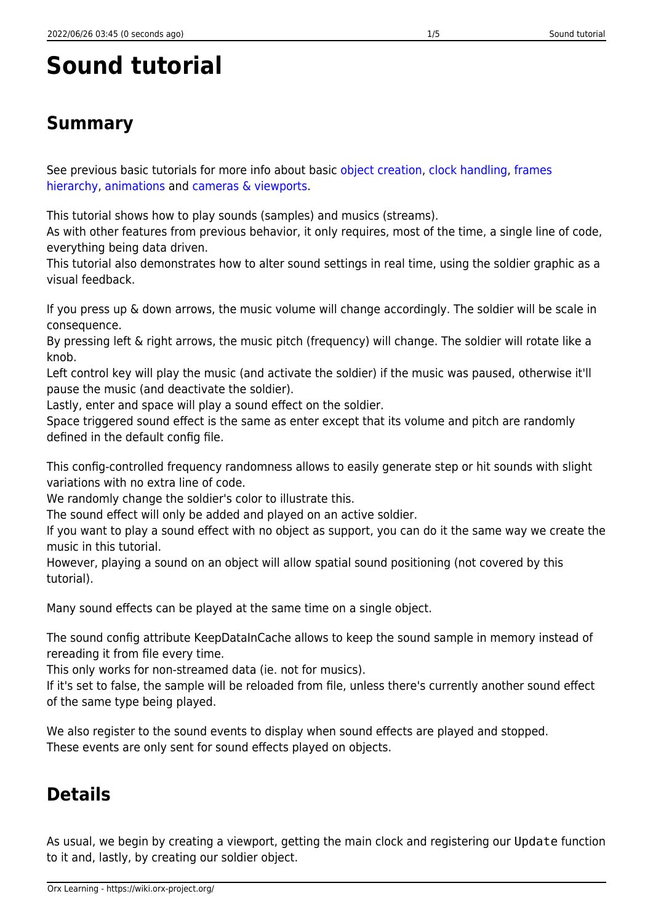## **Sound tutorial**

## **Summary**

See previous basic tutorials for more info about basic [object creation,](https://wiki.orx-project.org/en/tutorials/objects/object) [clock handling,](https://wiki.orx-project.org/en/tutorials/clocks/clock) [frames](https://wiki.orx-project.org/en/tutorials/objects/frame) [hierarchy](https://wiki.orx-project.org/en/tutorials/objects/frame), [animations](https://wiki.orx-project.org/en/tutorials/animation/anim) and [cameras & viewports](https://wiki.orx-project.org/en/tutorials/viewport/viewport).

This tutorial shows how to play sounds (samples) and musics (streams).

As with other features from previous behavior, it only requires, most of the time, a single line of code, everything being data driven.

This tutorial also demonstrates how to alter sound settings in real time, using the soldier graphic as a visual feedback.

If you press up & down arrows, the music volume will change accordingly. The soldier will be scale in consequence.

By pressing left & right arrows, the music pitch (frequency) will change. The soldier will rotate like a knob.

Left control key will play the music (and activate the soldier) if the music was paused, otherwise it'll pause the music (and deactivate the soldier).

Lastly, enter and space will play a sound effect on the soldier.

Space triggered sound effect is the same as enter except that its volume and pitch are randomly defined in the default config file.

This config-controlled frequency randomness allows to easily generate step or hit sounds with slight variations with no extra line of code.

We randomly change the soldier's color to illustrate this.

The sound effect will only be added and played on an active soldier.

If you want to play a sound effect with no object as support, you can do it the same way we create the music in this tutorial.

However, playing a sound on an object will allow spatial sound positioning (not covered by this tutorial).

Many sound effects can be played at the same time on a single object.

The sound config attribute KeepDataInCache allows to keep the sound sample in memory instead of rereading it from file every time.

This only works for non-streamed data (ie. not for musics).

If it's set to false, the sample will be reloaded from file, unless there's currently another sound effect of the same type being played.

We also register to the sound events to display when sound effects are played and stopped. These events are only sent for sound effects played on objects.

## **Details**

As usual, we begin by creating a viewport, getting the main clock and registering our Update function to it and, lastly, by creating our soldier object.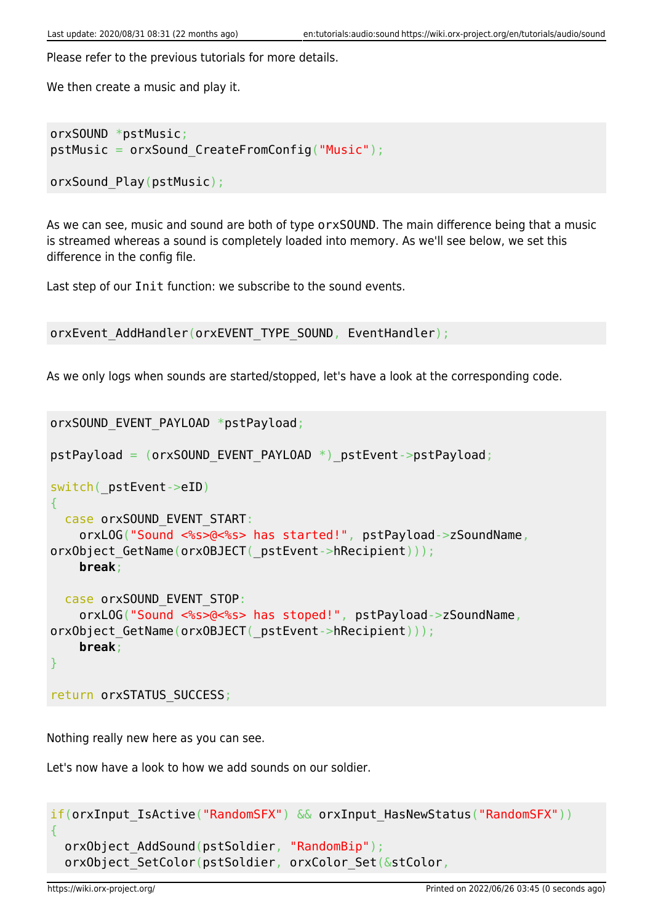Please refer to the previous tutorials for more details.

We then create a music and play it.

```
orxSOUND *pstMusic;
pstMusic = orxSound_CreateFromConfig("Music");
```

```
orxSound Play(pstMusic);
```
As we can see, music and sound are both of type orxSOUND. The main difference being that a music is streamed whereas a sound is completely loaded into memory. As we'll see below, we set this difference in the config file.

Last step of our Init function: we subscribe to the sound events.

```
orxEvent AddHandler(orxEVENT_TYPE_SOUND, EventHandler);
```
As we only logs when sounds are started/stopped, let's have a look at the corresponding code.

```
orxSOUND_EVENT_PAYLOAD *pstPayload;
pstPayload = (orxSOUND_EVENT_PAYLOAD *)_pstEvent->pstPayload;
switch( pstEvent->eID)
{
  case orxSOUND EVENT START:
     orxLOG("Sound <%s>@<%s> has started!", pstPayload->zSoundName,
orxObject GetName(orxOBJECT( pstEvent->hRecipient)));
     break;
   case orxSOUND_EVENT_STOP:
     orxLOG("Sound <%s>@<%s> has stoped!", pstPayload->zSoundName,
orxObject_GetName(orxOBJECT(_pstEvent->hRecipient)));
     break;
}
```
return orxSTATUS SUCCESS;

Nothing really new here as you can see.

Let's now have a look to how we add sounds on our soldier.

```
if(orxInput IsActive("RandomSFX") && orxInput HasNewStatus("RandomSFX"))
{
   orxObject_AddSound(pstSoldier, "RandomBip");
  orxObject SetColor(pstSoldier, orxColor Set(&stColor,
```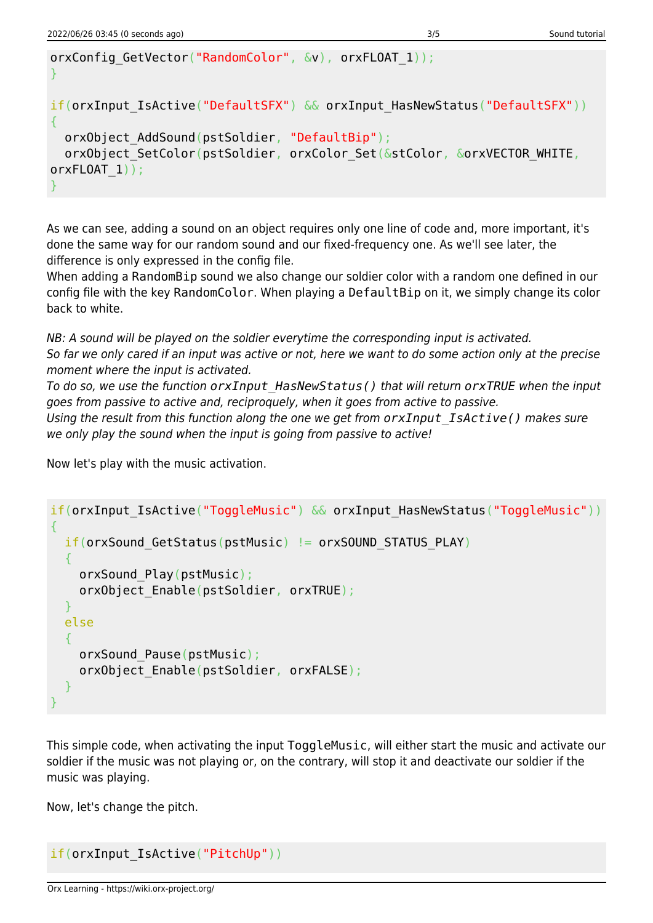```
orxConfig_GetVector("RandomColor", &v), orxFLOAT_1));
}
if(orxInput IsActive("DefaultSFX") && orxInput HasNewStatus("DefaultSFX"))
{
  orxObject AddSound(pstSoldier, "DefaultBip");
  orxObject SetColor(pstSoldier, orxColor Set(&stColor, &orxVECTOR WHITE,
orxFLOAT 1));
}
```
As we can see, adding a sound on an object requires only one line of code and, more important, it's done the same way for our random sound and our fixed-frequency one. As we'll see later, the difference is only expressed in the config file.

When adding a RandomBip sound we also change our soldier color with a random one defined in our config file with the key RandomColor. When playing a DefaultBip on it, we simply change its color back to white.

NB: A sound will be played on the soldier everytime the corresponding input is activated. So far we only cared if an input was active or not, here we want to do some action only at the precise moment where the input is activated.

To do so, we use the function *orxInput\_HasNewStatus()* that will return *orxTRUE* when the input goes from passive to active and, reciproquely, when it goes from active to passive.

Using the result from this function along the one we get from *orxInput\_IsActive()* makes sure we only play the sound when the input is going from passive to active!

Now let's play with the music activation.

```
if(orxInput IsActive("ToggleMusic") && orxInput HasNewStatus("ToggleMusic"))
{
  if(orxSound GetStatus(pstMusic) != orxSOUND STATUS PLAY) {
    orxSound Play(pstMusic);
     orxObject_Enable(pstSoldier, orxTRUE);
   }
   else
   {
     orxSound_Pause(pstMusic);
    orxObject Enable(pstSoldier, orxFALSE);
   }
}
```
This simple code, when activating the input ToggleMusic, will either start the music and activate our soldier if the music was not playing or, on the contrary, will stop it and deactivate our soldier if the music was playing.

Now, let's change the pitch.

```
if(orxInput_IsActive("PitchUp"))
```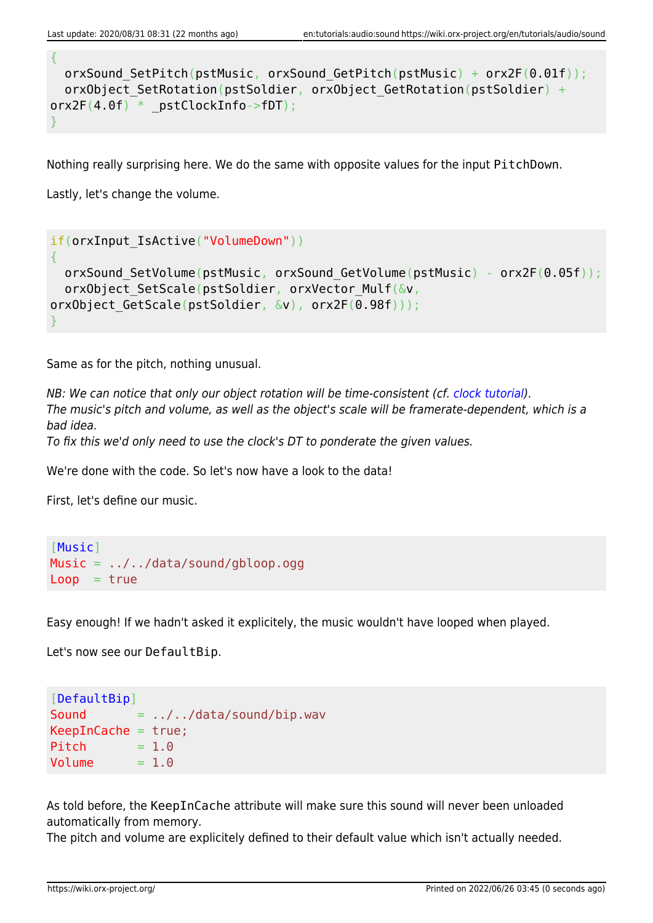{

```
orxSound SetPitch(pstMusic, orxSound GetPitch(pstMusic) + orx2F(0.01f));
  orxObject SetRotation(pstSoldier, orxObject GetRotation(pstSoldier) +
orx2F(4.0f) * pstClockInfo->fDT);}
```
Nothing really surprising here. We do the same with opposite values for the input PitchDown.

Lastly, let's change the volume.

```
if(orxInput IsActive("VolumeDown"))
{
  orxSound_SetVolume(pstMusic, orxSound_GetVolume(pstMusic) - orx2F(0.05f));
  orxObject SetScale(pstSoldier, orxVector Mulf(&v,
orxObject GetScale(pstSoldier, &v), orx2F(0.98f)));
}
```
Same as for the pitch, nothing unusual.

NB: We can notice that only our object rotation will be time-consistent (cf. [clock tutorial\)](https://wiki.orx-project.org/en/tutorials/clocks/clock). The music's pitch and volume, as well as the object's scale will be framerate-dependent, which is a bad idea. To fix this we'd only need to use the clock's DT to ponderate the given values.

We're done with the code. So let's now have a look to the data!

First, let's define our music.

[Music] Music = ../../data/sound/gbloop.ogg  $Loop = true$ 

Easy enough! If we hadn't asked it explicitely, the music wouldn't have looped when played.

Let's now see our DefaultBip.

```
[DefaultBip]
Sound = ../../data/sound/bip.wav
KeepInCache = true;Pitch = 1.0Volume = 1.0
```
As told before, the KeepInCache attribute will make sure this sound will never been unloaded automatically from memory.

The pitch and volume are explicitely defined to their default value which isn't actually needed.